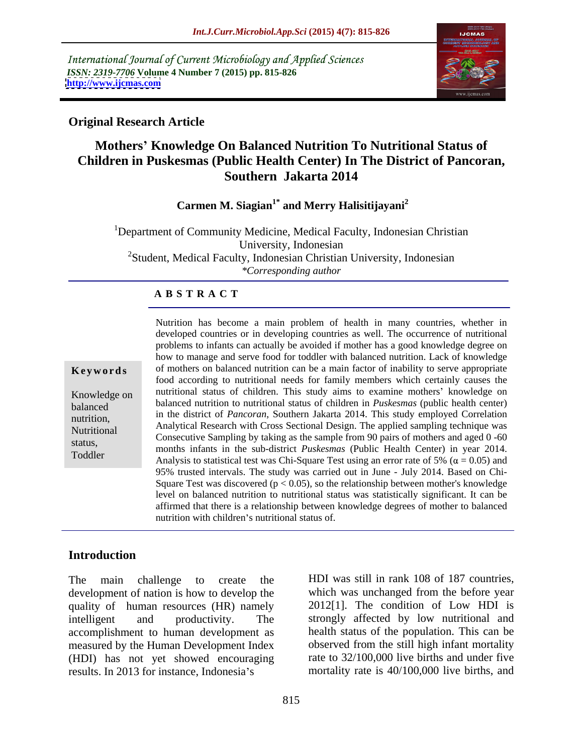International Journal of Current Microbiology and Applied Sciences *ISSN: 2319-7706* **Volume 4 Number 7 (2015) pp. 815-826 <http://www.ijcmas.com>**



### **Original Research Article**

# **Mothers Knowledge On Balanced Nutrition To Nutritional Status of Children in Puskesmas (Public Health Center) In The District of Pancoran, Southern Jakarta 2014**

### **Carmen M. Siagian1\* and Merry Halisitijayani<sup>2</sup>**

<sup>1</sup>Department of Community Medicine, Medical Faculty, Indonesian Christian University, Indonesian <sup>2</sup>Student, Medical Faculty, Indonesian Christian University, Indonesian *\*Corresponding author*

## **A B S T R A C T**

Toddler

Nutrition has become a main problem of health in many countries, whether in developed countries or in developing countries as well. The occurrence of nutritional problems to infants can actually be avoided if mother has a good knowledge degree on how to manage and serve food for toddler with balanced nutrition. Lack of knowledge **Keywords** of mothers on balanced nutrition can be a main factor of inability to serve appropriate food according to nutritional needs for family members which certainly causes the Knowledge on mutritional status of children. This study aims to examine mothers' knowledge on balanced nutrition to nutritional status of children in *Puskesmas* (public health center) balanced nutrition, in the district of *Pancoran*, Southern Jakarta 2014. This study employed Correlation is the district of *Pancoran*, Southern Jakarta 2014. This study employed Correlation Analytical Research with Cross Sectional Design. The applied sampling technique was Nutritional<br>Consecutive Sampling by taking as the sample from 90 pairs of mothers and aged 0 -60 status,<br>
months infants in the sub-district *Puskesmas* (Public Health Center) in year 2014. Analysis to statistical test was Chi-Square Test using an error rate of 5% ( $\alpha$  = 0.05) and 95% trusted intervals. The study was carried out in June - July 2014. Based on Chi- Square Test was discovered ( $p < 0.05$ ), so the relationship between mother's knowledge level on balanced nutrition to nutritional status was statistically significant. It can be affirmed that there is a relationship between knowledge degrees of mother to balanced nutrition with children's nutritional status of.

### **Introduction**

The main challenge to create the HDI was still in rank 108 of 187 countries, development of nation is how to develop the quality of human resources (HR) namely intelligent and productivity. The strongly affected by low nutritional and accomplishment to human development as measured by the Human Development Index (HDI) has not yet showed encouraging results. In 2013 for instance, Indonesia's mortality rate is 40/100,000 live births, and

which was unchanged from the before year 2012[1]. The condition of Low HDI is health status of the population. This can be observed from the still high infant mortality rate to 32/100,000 live births and under five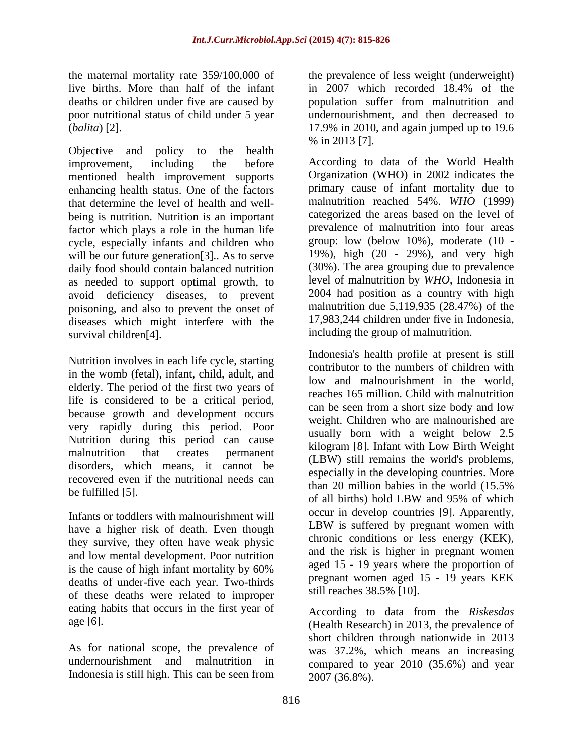live births. More than half of the infant in 2007 which recorded 18.4% of the

Objective and policy to the health  $\%$  in 2013 [7]. improvement, including the before According to data of the World Health mentioned health improvement supports enhancing health status. One of the factors that determine the level of health and well being is nutrition. Nutrition is an important factor which plays a role in the human life cycle, especially infants and children who will be our future generation<sup>[3]</sup>. As to serve daily food should contain balanced nutrition as needed to support optimal growth, to avoid deficiency diseases, to prevent poisoning, and also to prevent the onset of diseases which might interfere with the survival children<sup>[4]</sup>. including the group of malnutrition.

Nutrition involves in each life cycle, starting in the womb (fetal), infant, child, adult, and elderly. The period of the first two years of life is considered to be a critical period, because growth and development occurs very rapidly during this period. Poor Nutrition during this period can cause disorders, which means, it cannot be recovered even if the nutritional needs can<br>than 20 million babies in the world (15.5%

have a higher risk of death. Even though they survive, they often have weak physic and low mental development. Poor nutrition is the cause of high infant mortality by 60% deaths of under-five each year. Two-thirds of these deaths were related to improper eating habits that occurs in the first year of

As for national scope, the prevalence of undernourishment and malnutrition in Indonesia is still high. This can be seen from

the maternal mortality rate 359/100,000 of the prevalence of less weight (underweight) deaths or children under five are caused by population suffer from malnutrition and poor nutritional status of child under 5 year undernourishment, and then decreased to (*balita*) [2]. 17.9% in 2010, and again jumped up to 19.6 in 2007 which recorded 18.4% of the % in 2013 [7].

> Organization (WHO) in 2002 indicates the primary cause of infant mortality due to malnutrition reached 54%. *WHO* (1999) categorized the areas based on the level of prevalence of malnutrition into four areas group: low (below 10%), moderate (10 - 19%), high (20 - 29%), and very high (30%). The area grouping due to prevalence level of malnutrition by *WHO*, Indonesia in 2004 had position as a country with high malnutrition due 5,119,935 (28.47%) of the 17,983,244 children under five in Indonesia,

malnutrition that creates permanent (LBW) still remains the world's problems, be fulfilled [5].  $\frac{1}{20}$  minor basics in the world (15.5%) of all births) hold LBW and 95% of which Infants or toddlers with malnourishment will<br>how solution a higher risk of dooth. Even though LBW is suffered by pregnant women with Indonesia's health profile at present is still contributor to the numbers of children with low and malnourishment in the world, reaches 165 million. Child with malnutrition can be seen from a short size body and low weight. Children who are malnourished are usually born with a weight below 2.5 kilogram [8]. Infant with Low Birth Weight especially in the developing countries. More than 20 million babies in the world (15.5% of all births) hold LBW and 95% of which occur in develop countries [9]. Apparently, LBW is suffered by pregnant women with chronic conditions or less energy (KEK), and the risk is higher in pregnant women aged 15 - 19 years where the proportion of pregnant women aged 15 - 19 years KEK still reaches 38.5% [10].

age [6]. (Health Research) in 2013, the prevalence of According to data from the *Riskesdas* short children through nationwide in 2013 was 37.2%, which means an increasing compared to year 2010 (35.6%) and year 2007 (36.8%).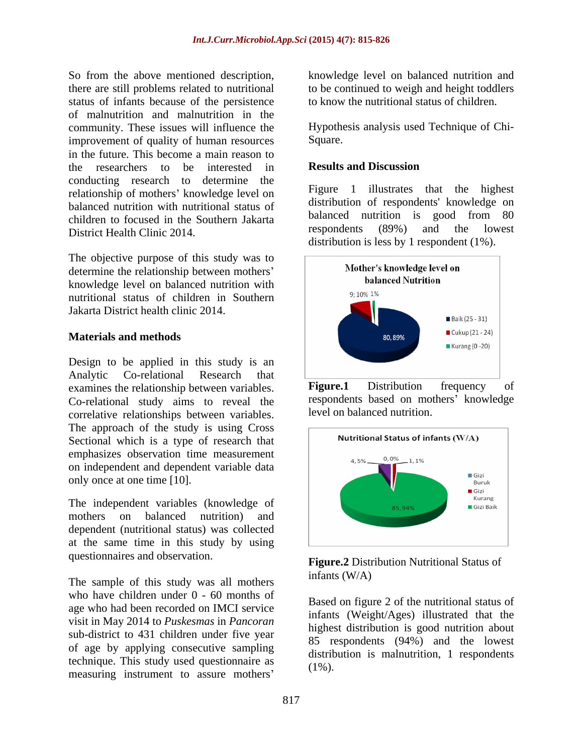So from the above mentioned description, knowledge level on balanced nutrition and there are still problems related to nutritional to becontinued to weigh and height toddlers status of infants because of the persistence of malnutrition and malnutrition in the community. These issues will influence the improvement of quality of human resources Square. in the future. This become a main reason to the researchers to be interested in **Results and Discussion** conducting research to determine the relationship of mothers' knowledge level on balanced nutrition with nutritional status of children to focused in the Southern Jakarta balanced nutrition is good from 80<br>respondents (89%) and the lowest District Health Clinic 2014.

The objective purpose of this study was to<br>determine the relationship between mothers' Mother's knowledge level on determine the relationship between mothers' Mother's knowledge leve<br>halanced Nutrition knowledge level on balanced nutrition with  $h$  balanced nutrition with  $h$  balanced nutritional atoms of a bildren in Southern nutritional status of children in Southern

Design to be applied in this study is an Analytic Co-relational Research that 1 examines the relationship between variables. Figure.1 Distribution frequency of Co-relational study aims to reveal the correlative relationships between variables. The approach of the study is using  $Cross$ <br>Sectional which is a type of research that  $N(A)$ Sectional which is a type of research that emphasizes observation time measurement  $\begin{bmatrix} a_{1.5\%} & a_{1.1\%} \\ a_{2.5\%} & a_{2.1\%} \end{bmatrix}$ on independent and dependent variable data

mothers on balanced nutrition) and dependent (nutritional status) was collected at the same time in this study by using questionnaires and observation.

The sample of this study was all mothers  $in$  finants  $(W/A)$ who have children under 0 - 60 months of age who had been recorded on IMCI service visit in May 2014 to *Puskesmas* in *Pancoran* sub-district to 431 children under five year of age by applying consecutive sampling technique. This study used questionnaire as measuring instrument to assure mothers

to know the nutritional status of children.

Hypothesis analysis used Technique of Chi- Square.

### **Results and Discussion**

Figure 1 illustrates that the highest distribution of respondents' knowledge on balanced nutrition is good from 80 respondents (89%) and the lowest distribution is less by 1 respondent (1%).



**Figure.1** Distribution frequency of respondents based on mothers' knowledge level on balanced nutrition.



### **Figure.2** Distribution Nutritional Status of infants (W/A)

Based on figure 2 of the nutritional status of infants (Weight/Ages) illustrated that the highest distribution is good nutrition about 85 respondents (94%) and the lowest distribution is malnutrition, 1 respondents  $(1\%)$ .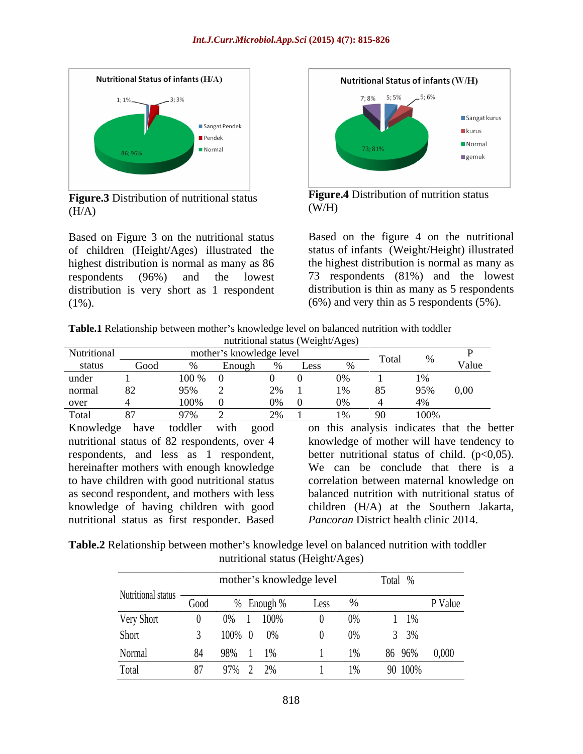

**Figure.3** Distribution of nutritional status **Figure**<br>(W/H)  $(H/A)$  (W/H)

Based on Figure 3 on the nutritional status of children (Height/Ages) illustrated the highest distribution is normal as many as 86 respondents (96%) and the lowest 73 respondents (81%) and the lowest distribution is very short as 1 respondent (1%). (6%) and very thin as 5 respondents (5%).



**Figure.4** Distribution of nutrition status  $(W/H)$ 

Based on the figure 4 on the nutritional status of infants (Weight/Height) illustrated the highest distribution is normal as many as distribution is thin as many as 5 respondents

**Table.1** Relationship between mother's knowledge level on balanced nutrition with toddler nutritional status (Weight/Ages)

| Nutritional |                                     | mother's knowledge level |  |                                                                                                                       |
|-------------|-------------------------------------|--------------------------|--|-----------------------------------------------------------------------------------------------------------------------|
| status      | Good                                |                          |  | $\frac{1}{\sqrt[6]{\frac{6}{\pi}} \csc \frac{1}{\sqrt[6]{\frac{1}{\pi}}}}$ Total % $\sqrt[6]{\frac{1}{\pi}}$<br>Value |
| under 1     | $100\%$ 0                           |                          |  |                                                                                                                       |
|             | normal 82 95% 2 2% 1 1% 85 95% 0,00 |                          |  |                                                                                                                       |
| over 4      |                                     | $0\%$ 0                  |  |                                                                                                                       |
| Total 87    | $97\%$                              |                          |  | 100%                                                                                                                  |

nutritional status as first responder. Based

Knowledge have toddler with good on this analysis indicates that the better nutritional status of 82 respondents, over 4 knowledge of mother will have tendency to respondents, and less as 1 respondent, better nutritional status of child. (p<0,05). hereinafter mothers with enough knowledge We can be conclude that there is a to have children with good nutritional status correlation between maternal knowledge on as second respondent, and mothers with less balanced nutrition with nutritional status of knowledge of having children with good children (H/A) at the Southern Jakarta, *Pancoran* District health clinic 2014.

**Table.2** Relationship between mother's knowledge level on balanced nutrition with toddler nutritional status (Height/Ages)

|                    |      | mother's knowledge level |      |       | Total        |         |
|--------------------|------|--------------------------|------|-------|--------------|---------|
| Nutritional status | U000 | Enough                   | Less |       |              | P Value |
| Very Short         |      | $0\%$ 1                  |      |       | $1 \t1\%$    |         |
| Short              |      | 100% 0 0%                |      | $U\%$ | $3\%$        |         |
| Normal             |      |                          |      | $1\%$ | 86 96% 0,000 |         |
| Total              |      |                          |      |       | 90 100%      |         |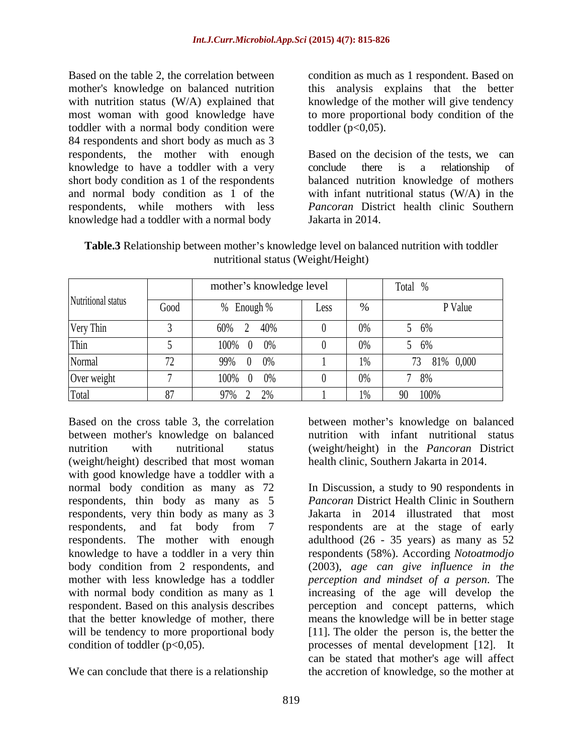Based on the table 2, the correlation between condition as much as 1 respondent. Based on mother's knowledge on balanced nutrition this analysis explains that the better with nutrition status (W/A) explained that most woman with good knowledge have to more proportional body condition of the toddler with a normal body condition were 84 respondents and short body as much as 3 knowledge to have a toddler with a very conclude there is a relationship of respondents, while mothers with less knowledge had a toddler with a normal body

knowledge of the mother will give tendency toddler  $(p<0.05)$ .

respondents, the mother with enough Based on the decision of the tests, we can short body condition as 1 of the respondents balanced nutrition knowledge of mothers and normal body condition as 1 of the with infant nutritional status (W/A) in the conclude there is a relationship of *Pancoran* District health clinic Southern Jakarta in 2014.

**Table.3** Relationship between mother's knowledge level on balanced nutrition with toddler nutritional status (Weight/Height)

|                    | mother's knowledge level |                              | Total |           |           |
|--------------------|--------------------------|------------------------------|-------|-----------|-----------|
| Nutritional status | Good                     | Enough %                     | Less  |           | P Value   |
| Very Thin          |                          | $60\%$<br>40%                |       | $U\%$     | 5 6%      |
| Thin               |                          | 100% 0 0%                    |       | $V$ / $V$ | 5 6%      |
| Normal             |                          | $00\%$<br>$0 \t 0\%$<br>22/0 |       | $1\%$     | 81% 0,000 |
| Over weight        |                          | 100% 0 0%                    |       | $V$ / $V$ | 8%        |
|                    |                          | 070/                         |       | $1\%$     | 90 100%   |

Based on the cross table 3, the correlation between mother's knowledge on balanced between mother's knowledge on balanced nutrition with infant nutritional status nutrition with nutritional status (weight/height) in the *Pancoran* District (weight/height) described that most woman with good knowledge have a toddler with a respondents, thin body as many as 5

We can conclude that there is a relationship

health clinic, Southern Jakarta in 2014.

normal body condition as many as 72 In Discussion, a study to 90 respondents in respondents, very thin body as many as 3 Jakarta in 2014 illustrated that most respondents, and fat body from 7 respondents are at the stage of early respondents. The mother with enough adulthood (26 - 35 years) as many as 52 knowledge to have a toddler in a very thin respondents (58%). According *Notoatmodjo*  body condition from 2 respondents, and (2003), *age can give influence in the* mother with less knowledge has a toddler *perception and mindset of a person*. The with normal body condition as many as 1 increasing of the age will develop the respondent. Based on this analysis describes perception and concept patterns, which that the better knowledge of mother, there means the knowledge will be in better stage will be tendency to more proportional body [11]. The older the person is, the better the condition of toddler (p<0,05). processes of mental development [12]. It *Pancoran* District Health Clinic in Southern can be stated that mother's age will affect the accretion of knowledge, so the mother at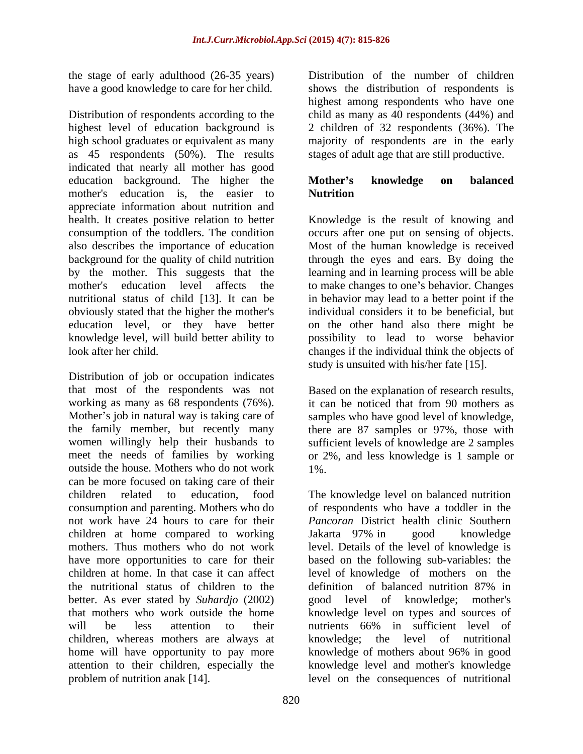the stage of early adulthood (26-35 years) have a good knowledge to care for her child.

Distribution of respondents according to the child as many as 40 respondents (44%) and highest level of education background is 2 children of 32 respondents (36%). The high school graduates or equivalent as many majority of respondents are in the early as 45 respondents (50%). The results indicated that nearly all mother has good education background. The higher the **Mother's knowledge on balanced** mother's education is, the easier to **Nutrition** appreciate information about nutrition and health. It creates positive relation to better Knowledge is the result of knowing and consumption of the toddlers. The condition occurs after one put on sensing of objects. also describes the importance of education Most of the human knowledge is received background for the quality of child nutrition by the mother. This suggests that the learning and in learning process will be able mother's education level affects the to make changes to one's behavior. Changes nutritional status of child [13]. It can be in behavior may lead to a better point if the obviously stated that the higher the mother's individual considers it to be beneficial, but education level, or they have better knowledge level, will build better ability to

Distribution of job or occupation indicates that most of the respondents was not Based on the explanation of research results, working as many as 68 respondents (76%). Mother's job in natural way is taking care of samples who have good level of knowledge, the family member, but recently many there are 87 samples or 97%, those with women willingly help their husbands to sufficient levels of knowledge are 2 samples meet the needs of families by working or 2%, and less knowledge is 1 sample or outside the house. Mothers who do not work can be more focused on taking care of their children related to education, food The knowledge level on balanced nutrition consumption and parenting. Mothers who do not work have 24 hours to care for their children at home compared to working Jakarta 97% in good knowledge mothers. Thus mothers who do not work level. Details of the level of knowledge is have more opportunities to care for their children at home. In that case it can affect level of knowledge of mothers on the the nutritional status of children to the better. As ever stated by *Suhardjo* (2002) that mothers who work outside the home knowledge level on types and sources of will be less attention to their mutrients 66% in sufficient level of children, whereas mothers are always at home will have opportunity to pay more attention to their children, especially the problem of nutrition anak [14]. level on the consequences of nutritional

Distribution of the number of children shows the distribution of respondents is highest among respondents who have one stages of adult age that are still productive.

## **Mother s knowledge on balanced Nutrition**

look after her child. changes if the individual think the objects of through the eyes and ears. By doing the on the other hand also there might be possibility to lead to worse behavior study is unsuited with his/her fate [15].

> it can be noticed that from 90 mothers as 1%.

of respondents who have a toddler in the *Pancoran* District health clinic Southern Jakarta 97% in good knowledge based on the following sub-variables: the definition of balanced nutrition 87% in good level of knowledge; mother's nutrients 66% in sufficient level of knowledge; the level of nutritional knowledge of mothers about 96% in good knowledge level and mother's knowledge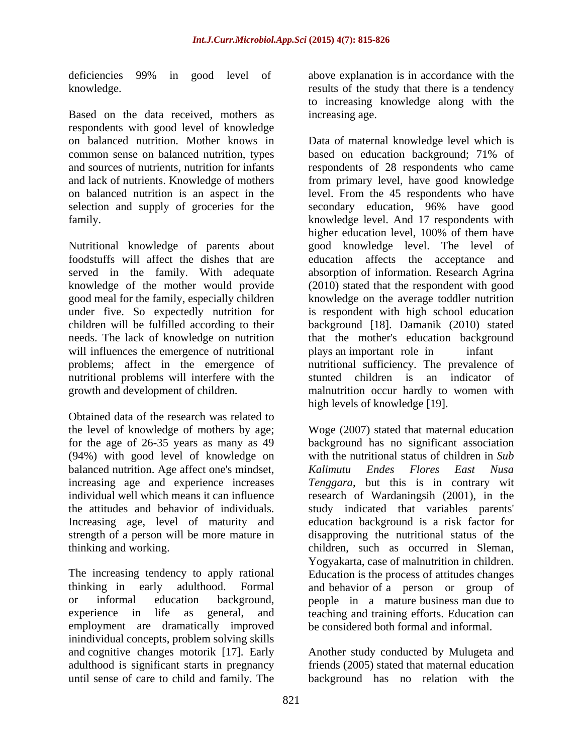Based on the data received, mothers as respondents with good level of knowledge common sense on balanced nutrition, types based on education background; 71% of

Nutritional knowledge of parents about under five. So expectedly nutrition for will influences the emergence of nutritional plays an important role in infant nutritional problems will interfere with the

Obtained data of the research was related to (94%) with good level of knowledge on balanced nutrition. Age affect one's mindset, <br>
balanced nutrition. Age affect one's mindset, <br> *Kalimutu Endes Flores East Nusa*<br> *Renggara*, but this is in contrary wit Increasing age, level of maturity and

employment are dramatically improved inindividual concepts, problem solving skills and cognitive changes motorik [17]. Early Another study conducted by Mulugeta and adulthood is significant starts in pregnancy until sense of care to child and family. The background has no relation with the

deficiencies 99% in good level of above explanation is in accordance with the knowledge. results of the study that there is a tendency above explanation is in accordance with the to increasing knowledge along with the increasing age.

on balanced nutrition. Mother knows in Data of maternal knowledge level which is and sources of nutrients, nutrition for infants respondents of 28 respondents who came and lack of nutrients. Knowledge of mothers from primary level, have good knowledge on balanced nutrition is an aspect in the level. From the 45 respondents who have selection and supply of groceries for the secondary education,96% have good family. knowledge level. And 17 respondents with foodstuffs will affect the dishes that are education affects the acceptance and served in the family. With adequate absorption of information. Research Agrina knowledge of the mother would provide (2010) stated that the respondent with good good meal for the family, especially children knowledge on the average toddler nutrition children will be fulfilled according to their background [18]. Damanik (2010) stated needs. The lack of knowledge on nutrition that the mother's education background problems; affect in the emergence of nutritional sufficiency. The prevalence of growth and development of children. malnutrition occur hardly to women with based on education background; 71% of higher education level, 100% of them have good knowledge level. The level of is respondent with high school education plays an important role in infant stunted children is an indicator of high levels of knowledge [19].

the level of knowledge of mothers by age; Woge (2007) stated that maternal education for the age of 26-35 years as many as 49 background has no significant association increasing age and experience increases *Tenggara*, but this is in contrary wit individual well which means it can influence research of Wardaningsih (2001), in the the attitudes and behavior of individuals. study indicated that variables parents' strength of a person will be more mature in disapproving the nutritional status of the thinking and working. children, such as occurred in Sleman, The increasing tendency to apply rational Education is the process of attitudes changes thinking in early adulthood. Formal and behavior of a person or group of or informal education background, people in a mature business man due to experience in life as general, and teaching and training efforts. Education can with the nutritional status of children in *Sub Kalimutu Endes Flores East Nusa* education background is a risk factor for Yogyakarta, case of malnutrition in children. be considered both formal and informal.

friends (2005) stated that maternal education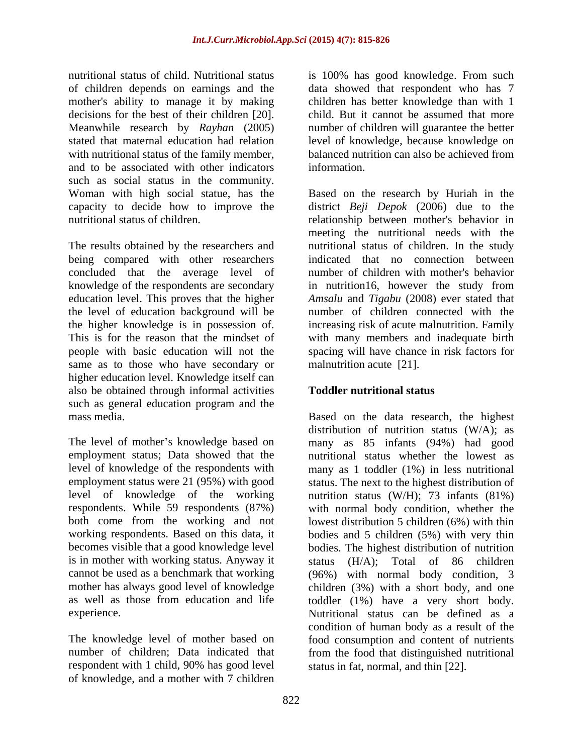nutritional status of child. Nutritional status is 100% has good knowledge. From such of children depends on earnings and the data showed that respondent who has 7 mother's ability to manage it by making children has better knowledge than with 1 decisions for the best of their children [20]. child. But it cannot be assumed that more Meanwhile research by *Rayhan* (2005) number of children will guarantee the better stated that maternal education had relation level of knowledge, because knowledge on with nutritional status of the family member. and to be associated with other indicators such as social status in the community.

The results obtained by the researchers and nutritional status of children. In the study being compared with other researchers concluded that the average level of number of children with mother's behavior knowledge of the respondents are secondary in nutrition16, however the study from education level. This proves that the higher *Amsalu* and *Tigabu* (2008) ever stated that the level of education background will be number of children connected with the the higher knowledge is in possession of. increasing risk of acute malnutrition. Family This is for the reason that the mindset of with many members and inadequate birth people with basic education will not the spacing will have chance in risk factors for same as to those who have secondary or higher education level. Knowledge itself can also be obtained through informal activities such as general education program and the mass media. Based on the data research, the highest

The level of mother's knowledge based on many as 85 infants (94%) had good employment status; Data showed that the nutritional status whether the lowest as level of knowledge of the respondents with employment status were 21 (95%) with good status. The next to the highest distribution of level of knowledge of the working nutrition status (W/H); 73 infants (81%) respondents. While 59 respondents (87%) both come from the working and not lowest distribution 5 children (6%) with thin working respondents. Based on this data, it bodies and 5 children (5%) with very thin becomes visible that a good knowledge level bodies. The highest distribution of nutrition is in mother with working status. Anyway it status (H/A); Total of 86 children cannot be used as a benchmark that working (96%) with normal body condition, 3 mother has always good level of knowledge children (3%) with a short body, and one as well as those from education and life toddler (1%) have a very short body.

The knowledge level of mother based on respondent with 1 child, 90% has good level of knowledge, and a mother with 7 children

balanced nutrition can also be achieved from information.

Woman with high social statue, has the Based on the research by Huriah in the capacity to decide how to improve the district *Beji Depok* (2006) due to the nutritional status of children. The relationship between mother's behavior in meeting the nutritional needs with the indicated that no connection between malnutrition acute [21].

### **Toddler nutritional status**

experience. Nutritional status can be defined as a number of children; Data indicated that from the food that distinguished nutritional distribution of nutrition status (W/A); as many as 1 toddler (1%) in less nutritional with normal body condition, whether the condition of human body as a result of the food consumption and content of nutrients status in fat, normal, and thin [22].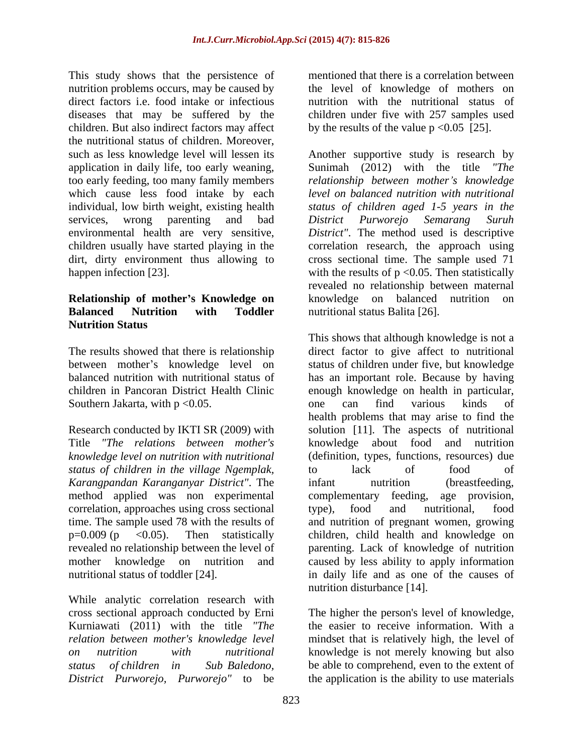This study shows that the persistence of nutrition problems occurs, may be caused by direct factors i.e. food intake or infectious diseases that may be suffered by the children under five with 257 samples used children. But also indirect factors may affect the nutritional status of children. Moreover, such as less knowledge level will lessen its Another supportive study is research by application in daily life, too early weaning, too early feeding, too many family members *relationship between mother s knowledge* which cause less food intake by each *level on balanced nutrition with nutritional* individual, low birth weight, existing health *status of children aged 1-5 years in the* services, wrong parenting and bad District Purworejo Semarang Suruh environmental health are very sensitive, *District"*. The method used is descriptive children usually have started playing in the correlation research, the approach using dirt, dirty environment thus allowing to cross sectional time. The sample used 71 happen infection [23].  $with the results of p < 0.05$ . Then statistically

### **Relationship of mother's Knowledge on halanced** nutrition on **Balanced Nutrition with Toddler Nutrition Status**

Southern Jakarta, with p < 0.05. The one can find various kinds of

*status of children in the village Ngemplak, Karangpandan Karanganyar District"*. The method applied was non experimental complementary feeding, age provision, correlation, approaches using cross sectional type), food and nutritional, food

While analytic correlation research with cross sectional approach conducted by Erni Kurniawati (2011) with the title *"The relation between mother's knowledge level* mindset that is relatively high, the level of *on nutrition with nutritional* knowledge is not merely knowing but also *status of children in Sub Baledono,* be able to comprehend, even to the extent of *District Purworejo, Purworejo"* to be

mentioned that there is a correlation between the level of knowledge of mothers on nutrition with the nutritional status of by the results of the value  $p \le 0.05$  [25].

Sunimah (2012) with the title *"The District Purworejo Semarang Suruh* revealed no relationship between maternal knowledge on balanced nutrition nutritional status Balita [26].

The results showed that there is relationship direct factor to give affect to nutritional between mother's knowledge level on status of children under five, but knowledge balanced nutrition with nutritional status of has an important role. Because by having children in Pancoran District Health Clinic enough knowledge on health in particular, Research conducted by IKTI SR (2009) with solution [11]. The aspects of nutritional Title *"The relations between mother's* knowledge about food and nutrition *knowledge level on nutrition with nutritional* (definition, types, functions, resources) due time. The sample used 78 with the results of and nutrition of pregnant women, growing p=0.009 (p <0.05). Then statistically children, child health and knowledge on revealed no relationship between the level of parenting. Lack of knowledge of nutrition mother knowledge on nutrition and caused by less ability to apply information nutritional status of toddler [24]. in daily life and as one of the causes of This shows that although knowledge is not a one can find various kinds of health problems that may arise to find the to lack of food of infant nutrition (breastfeeding, complementary feeding, age provision, type), food and nutritional, food nutrition disturbance [14].

> The higher the person's level of knowledge, the easier to receive information. With a the application is the ability to use materials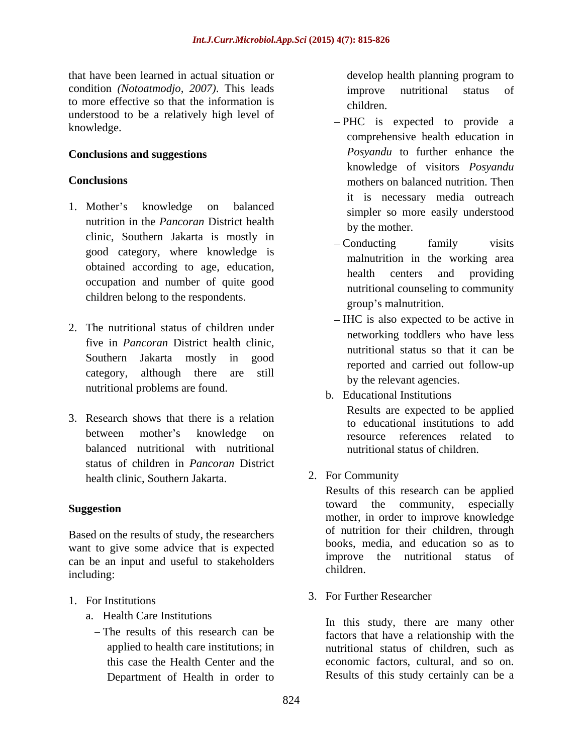that have been learned in actual situation or condition *(Notoatmodjo, 2007)*. This leads to more effective so that the information is children. understood to be a relatively high level of knowledge.

- 1. Mother's knowledge on balanced simpler so more easily understood nutrition in the *Pancoran* District health clinic, Southern Jakarta is mostly in  $\qquad$  - Conducting family visits good category, where knowledge is obtained according to age, education,<br>health centers and providing occupation and number of quite good children belong to the respondents.<br>group's malnutrition.
- 2. The nutritional status of children under five in *Pancoran* District health clinic, Southern Jakarta mostly in good category, although there are still nutritional problems are found.
- 3. Research shows that there is a relation between mother's knowledge on the resource references related to balanced nutritional with nutritional status of children in *Pancoran* District health clinic, Southern Jakarta. 2. For Community

Based on the results of study, the researchers want to give some advice that is expected can be an input and useful to stakeholders many umprove<br>children. including: the contract of the contract of the contract of the contract of the contract of the contract of the contract of the contract of the contract of the contract of the contract of the contract of the contract of the

- 1. For Institutions 3. For Further Researcher
	- a. Health Care Institutions
		- Department of Health in order to

develop health planning program to improve nutritional status of children. **Exercísion** and the contract of the contract of the contract of the contract of the contract of the contract of the contract of the contract of the contract of the contract of the contract of the contract of the

- **Conclusions and suggestions** *Posyandu* to further enhance the **Conclusions** mothers on balanced nutrition. Then - PHC is expected to provide a comprehensive health education in knowledge of visitors *Posyandu* it is necessary media outreach simpler so more easily understood by the mother.
	- Conducting family visits malnutrition in the working area health centers and providing nutritional counseling to community group's malnutrition.
	- IHC is also expected to be active in networking toddlers who have less nutritional status so that it can be reported and carried out follow-up by the relevant agencies.
	- b. Educational Institutions

Results are expected to be applied to educational institutions to add resource references related to nutritional status of children.

2. For Community

**Suggestion** community, especially community of the community, especially Results of this research can be applied toward the community, especially mother, in order to improve knowledge of nutrition for their children, through books, media, and education so as to improve the nutritional status of children.

3. For Further Researcher

The results of this research can be factors that have a relationship with the applied to health care institutions; in nutritional status of children, such as this case the Health Center and the economic factors, cultural, and so on. In this study, there are many other Results of this study certainly can be a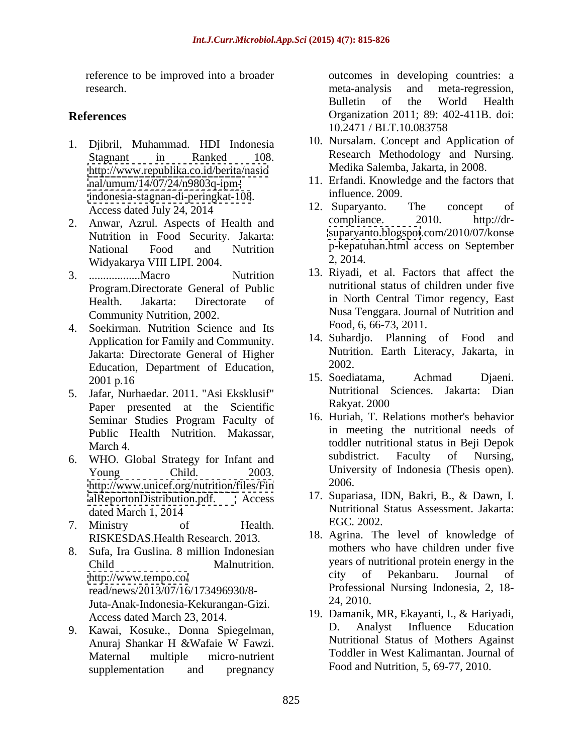reference to be improved into a broader research. **Example 20** is the meta-mail of the meta-mail of the meta-mail of the meta-mail of the meta-mail of the meta-mail of the meta-mail of the meta-mail of the meta-mail of the meta-mail of the meta-mail of the meta-

- 1. Djibril, Muhammad. HDI Indonesia <http://www.republika.co.id/berita/nasio> [nal/umum/14/07/24/n9803q-ipm](nal/umum/14/07/24/n9803q-ipm-)<indonesia-stagnan-di-peringkat-108>. influence. 2009.<br>Access dated July 24, 2014. 12. Suparyanto. The concept of
- Nutrition in Food Security. Jakarta: Widyakarya VIII LIPI. 2004.
- Program.Directorate General of Public Community Nutrition, 2002.
- 4. Soekirman. Nutrition Science and Its Application for Family and Community. Jakarta: Directorate General of Higher Education, Department of Education, 2002.<br>2001 p.16 15. Soediatama, Achmad Djaeni.
- 5. Jafar, Nurhaedar. 2011. "Asi Eksklusif" Nutritional Spanner presented at the Scientific Rakyat. 2000 Paper presented at the Scientific Public Health Nutrition. Makassar,
- <http://www.unicef.org/nutrition/files/Fin>
- 7. Ministry of Health. BOC. 2002.
- 8. Sufa, Ira Guslina. 8 million Indonesian read/news/2013/07/16/173496930/8-<br>
Luta-Anak-Indonesia-Kekurangan-Gizi 24, 2010. Juta-Anak-Indonesia-Kekurangan-Gizi.
- supplementation and pregnancy Food and Nutrition, 5, 69-77, 2010.

**References** Organization 2011; 89: 402-411B. doi: outcomes in developing countries: a meta-analysis and meta-regression, Bulletin of the World Health 10.2471 / BLT.10.083758

- Stagnant in Ranked 108. Research Methodology and Nursing. 10. Nursalam. Concept and Application of Research Methodology and Nursing. Medika Salemba, Jakarta, in 2008.
	- 11. Erfandi. Knowledge and the factors that influence. 2009.
- Access dated July 24, 2014 12. Suparyanto. The concept of 2. Anwar, Azrul. Aspects of Health and compliance. 2010. http://dr-National Food and Nutrition p-kepatuhan.html access on September 12. Suparyanto. The concept of compliance. 2010. http://dr <suparyanto.blogspot>.com/2010/07/konse 2, 2014.
- 3. ..................Macro Nutrition 13. Riyadi, et al. Factors that affect the Health. Jakarta: Directorate of in North Central Timor regency, East nutritional status of children under five Nusa Tenggara. Journal of Nutrition and Food, 6, 66-73, 2011.
	- 14. Suhardjo. Planning of Food and Nutrition. Earth Literacy, Jakarta, in 2002.
	- 2001 p.16 15. Soediatama, Achmad Djaeni. 15. Soediatama, Achmad Djaeni. Nutritional Sciences. Jakarta: Dian Rakyat. 2000
- Seminar Studies Program Faculty of 16. Hurian, I. Relations mother's behavior March 4. toddler nutritional status in Beji Depok 6. WHO. Global Strategy for Infant and subdistrict. Faculty of Nursing, Young Child. 2003. University of Indonesia (Thesis open). 16. Huriah, T. Relations mother's behavior in meeting the nutritional needs of subdistrict. Faculty of Nursing, 2006.
	- [alReportonDistribution.pdf.](alReportonDistribution.pdf) Access 17. Supariasa, IDN, Bakri, B., & Dawn, I. dated March 1, 2014 **Nutritional Status Assessment.** Jakarta: Nutritional Status Assessment. Jakarta: EGC. 2002.
	- RISKESDAS.Health Research. 2013. 18. Agrina. The level of knowledge of Child Malnutrition. years of nutritional protein energy in the <http://www.tempo.co/> city of Pekanbaru. Journal of mothers who have children under five city of Pekanbaru. Journal of Professional Nursing Indonesia, 2, 18- 24, 2010.
- Access dated March 23, 2014. 19. Damanik, MR, Ekayanti, I., & Hariyadi, 9. Kawai, Kosuke., Donna Spiegelman, Anuraj Shankar H &Wafaie W Fawzi. Maternal multiple micro-nutrient Toddler in West Kalimantan. Journal of D. Analyst Influence Education Nutritional Status of Mothers Against Food and Nutrition, 5, 69-77, 2010.